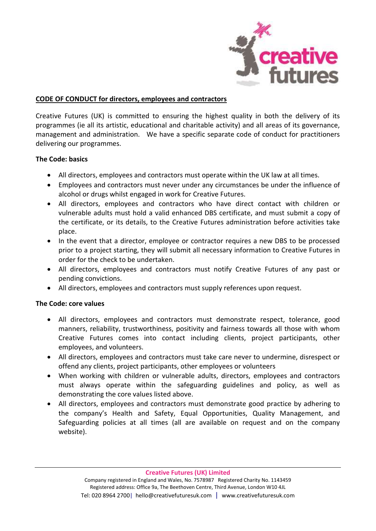

### **CODE OF CONDUCT for directors, employees and contractors**

Creative Futures (UK) is committed to ensuring the highest quality in both the delivery of its programmes (ie all its artistic, educational and charitable activity) and all areas of its governance, management and administration. We have a specific separate code of conduct for practitioners delivering our programmes.

## **The Code: basics**

- All directors, employees and contractors must operate within the UK law at all times.
- Employees and contractors must never under any circumstances be under the influence of alcohol or drugs whilst engaged in work for Creative Futures.
- All directors, employees and contractors who have direct contact with children or vulnerable adults must hold a valid enhanced DBS certificate, and must submit a copy of the certificate, or its details, to the Creative Futures administration before activities take place.
- In the event that a director, employee or contractor requires a new DBS to be processed prior to a project starting, they will submit all necessary information to Creative Futures in order for the check to be undertaken.
- All directors, employees and contractors must notify Creative Futures of any past or pending convictions.
- All directors, employees and contractors must supply references upon request.

#### **The Code: core values**

- All directors, employees and contractors must demonstrate respect, tolerance, good manners, reliability, trustworthiness, positivity and fairness towards all those with whom Creative Futures comes into contact including clients, project participants, other employees, and volunteers.
- All directors, employees and contractors must take care never to undermine, disrespect or offend any clients, project participants, other employees or volunteers
- When working with children or vulnerable adults, directors, employees and contractors must always operate within the safeguarding guidelines and policy, as well as demonstrating the core values listed above.
- All directors, employees and contractors must demonstrate good practice by adhering to the company's Health and Safety, Equal Opportunities, Quality Management, and Safeguarding policies at all times (all are available on request and on the company website).

**Creative Futures (UK) Limited**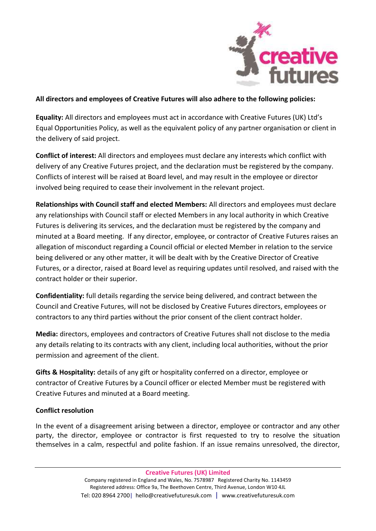

## **All directors and employees of Creative Futures will also adhere to the following policies:**

**Equality:** All directors and employees must act in accordance with Creative Futures (UK) Ltd's Equal Opportunities Policy, as well as the equivalent policy of any partner organisation or client in the delivery of said project.

**Conflict of interest:** All directors and employees must declare any interests which conflict with delivery of any Creative Futures project, and the declaration must be registered by the company. Conflicts of interest will be raised at Board level, and may result in the employee or director involved being required to cease their involvement in the relevant project.

**Relationships with Council staff and elected Members:** All directors and employees must declare any relationships with Council staff or elected Members in any local authority in which Creative Futures is delivering its services, and the declaration must be registered by the company and minuted at a Board meeting. If any director, employee, or contractor of Creative Futures raises an allegation of misconduct regarding a Council official or elected Member in relation to the service being delivered or any other matter, it will be dealt with by the Creative Director of Creative Futures, or a director, raised at Board level as requiring updates until resolved, and raised with the contract holder or their superior.

**Confidentiality:** full details regarding the service being delivered, and contract between the Council and Creative Futures, will not be disclosed by Creative Futures directors, employees or contractors to any third parties without the prior consent of the client contract holder.

**Media:** directors, employees and contractors of Creative Futures shall not disclose to the media any details relating to its contracts with any client, including local authorities, without the prior permission and agreement of the client.

**Gifts & Hospitality:** details of any gift or hospitality conferred on a director, employee or contractor of Creative Futures by a Council officer or elected Member must be registered with Creative Futures and minuted at a Board meeting.

# **Conflict resolution**

In the event of a disagreement arising between a director, employee or contractor and any other party, the director, employee or contractor is first requested to try to resolve the situation themselves in a calm, respectful and polite fashion. If an issue remains unresolved, the director,